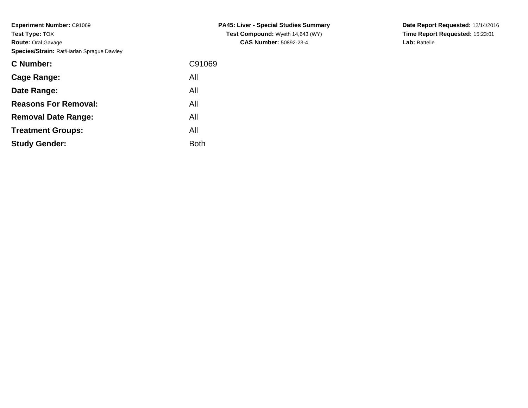**Experiment Number:** C91069**Test Type:** TOX **Route:** Oral Gavage**Species/Strain:** Rat/Harlan Sprague Dawley

| <b>C Number:</b>            | C91069      |
|-----------------------------|-------------|
| Cage Range:                 | All         |
| Date Range:                 | All         |
| <b>Reasons For Removal:</b> | All         |
| <b>Removal Date Range:</b>  | All         |
| <b>Treatment Groups:</b>    | All         |
| <b>Study Gender:</b>        | <b>Both</b> |
|                             |             |

**PA45: Liver - Special Studies SummaryTest Compound:** Wyeth 14,643 (WY)**CAS Number:** 50892-23-4

**Date Report Requested:** 12/14/2016**Time Report Requested:** 15:23:01**Lab:** Battelle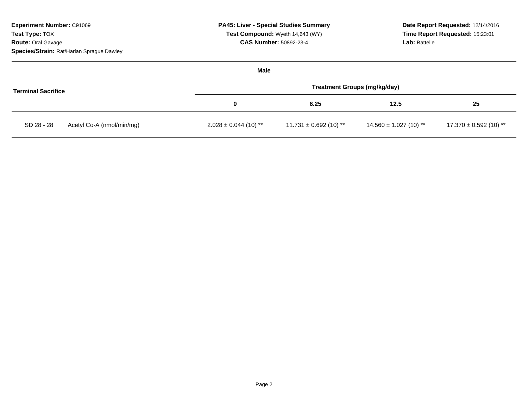| <b>Experiment Number: C91069</b><br>Test Type: TOX<br><b>Route: Oral Gavage</b><br>Species/Strain: Rat/Harlan Sprague Dawley | <b>PA45: Liver - Special Studies Summary</b><br>Test Compound: Wyeth 14,643 (WY)<br><b>CAS Number: 50892-23-4</b> |                            | Date Report Requested: 12/14/2016<br>Time Report Requested: 15:23:01<br><b>Lab: Battelle</b> |                            |
|------------------------------------------------------------------------------------------------------------------------------|-------------------------------------------------------------------------------------------------------------------|----------------------------|----------------------------------------------------------------------------------------------|----------------------------|
|                                                                                                                              | Male                                                                                                              |                            |                                                                                              |                            |
| <b>Terminal Sacrifice</b>                                                                                                    | <b>Treatment Groups (mg/kg/day)</b>                                                                               |                            |                                                                                              |                            |
|                                                                                                                              | 0                                                                                                                 | 6.25                       | 12.5                                                                                         | 25                         |
| SD 28 - 28<br>Acetyl Co-A (nmol/min/mg)                                                                                      | $2.028 \pm 0.044$ (10) **                                                                                         | $11.731 \pm 0.692$ (10) ** | $14.560 \pm 1.027$ (10) **                                                                   | $17.370 \pm 0.592$ (10) ** |